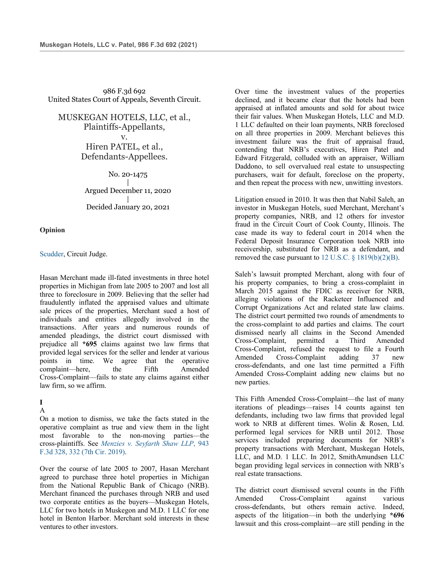986 F.3d 692 United States Court of Appeals, Seventh Circuit.

MUSKEGAN HOTELS, LLC, et al., Plaintiffs-Appellants, v. Hiren PATEL, et al., Defendants-Appellees.

> No. 20-1475 | Argued December 11, 2020 | Decided January 20, 2021

**Opinion**

## Scudder, Circuit Judge.

Hasan Merchant made ill-fated investments in three hotel properties in Michigan from late 2005 to 2007 and lost all three to foreclosure in 2009. Believing that the seller had fraudulently inflated the appraised values and ultimate sale prices of the properties, Merchant sued a host of individuals and entities allegedly involved in the transactions. After years and numerous rounds of amended pleadings, the district court dismissed with prejudice all **\*695** claims against two law firms that provided legal services for the seller and lender at various points in time. We agree that the operative complaint—here, the Fifth Amended Cross-Complaint—fails to state any claims against either law firm, so we affirm.

### **I**

A

On a motion to dismiss, we take the facts stated in the operative complaint as true and view them in the light most favorable to the non-moving parties—the cross-plaintiffs. See *Menzies v. Seyfarth Shaw LLP*, 943 F.3d 328, 332 (7th Cir. 2019).

Over the course of late 2005 to 2007, Hasan Merchant agreed to purchase three hotel properties in Michigan from the National Republic Bank of Chicago (NRB). Merchant financed the purchases through NRB and used two corporate entities as the buyers—Muskegan Hotels, LLC for two hotels in Muskegon and M.D. 1 LLC for one hotel in Benton Harbor. Merchant sold interests in these ventures to other investors.

Over time the investment values of the properties declined, and it became clear that the hotels had been appraised at inflated amounts and sold for about twice their fair values. When Muskegan Hotels, LLC and M.D. 1 LLC defaulted on their loan payments, NRB foreclosed on all three properties in 2009. Merchant believes this investment failure was the fruit of appraisal fraud, contending that NRB's executives, Hiren Patel and Edward Fitzgerald, colluded with an appraiser, William Daddono, to sell overvalued real estate to unsuspecting purchasers, wait for default, foreclose on the property, and then repeat the process with new, unwitting investors.

Litigation ensued in 2010. It was then that Nabil Saleh, an investor in Muskegan Hotels, sued Merchant, Merchant's property companies, NRB, and 12 others for investor fraud in the Circuit Court of Cook County, Illinois. The case made its way to federal court in 2014 when the Federal Deposit Insurance Corporation took NRB into receivership, substituted for NRB as a defendant, and removed the case pursuant to 12 U.S.C.  $\S$  1819(b)(2)(B).

Saleh's lawsuit prompted Merchant, along with four of his property companies, to bring a cross-complaint in March 2015 against the FDIC as receiver for NRB, alleging violations of the Racketeer Influenced and Corrupt Organizations Act and related state law claims. The district court permitted two rounds of amendments to the cross-complaint to add parties and claims. The court dismissed nearly all claims in the Second Amended Cross-Complaint, permitted a Third Amended Cross-Complaint, refused the request to file a Fourth Amended Cross-Complaint adding 37 new cross-defendants, and one last time permitted a Fifth Amended Cross-Complaint adding new claims but no new parties.

This Fifth Amended Cross-Complaint—the last of many iterations of pleadings—raises 14 counts against ten defendants, including two law firms that provided legal work to NRB at different times. Wolin & Rosen, Ltd. performed legal services for NRB until 2012. Those services included preparing documents for NRB's property transactions with Merchant, Muskegan Hotels, LLC, and M.D. 1 LLC. In 2012, SmithAmundsen LLC began providing legal services in connection with NRB's real estate transactions.

The district court dismissed several counts in the Fifth Amended Cross-Complaint against various cross-defendants, but others remain active. Indeed, aspects of the litigation—in both the underlying **\*696** lawsuit and this cross-complaint—are still pending in the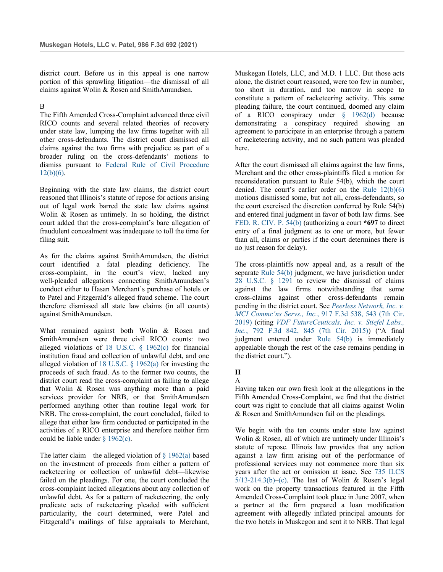district court. Before us in this appeal is one narrow portion of this sprawling litigation—the dismissal of all claims against Wolin & Rosen and SmithAmundsen.

### B

The Fifth Amended Cross-Complaint advanced three civil RICO counts and several related theories of recovery under state law, lumping the law firms together with all other cross-defendants. The district court dismissed all claims against the two firms with prejudice as part of a broader ruling on the cross-defendants' motions to dismiss pursuant to Federal Rule of Civil Procedure  $12(b)(6)$ .

Beginning with the state law claims, the district court reasoned that Illinois's statute of repose for actions arising out of legal work barred the state law claims against Wolin & Rosen as untimely. In so holding, the district court added that the cross-complaint's bare allegation of fraudulent concealment was inadequate to toll the time for filing suit.

As for the claims against SmithAmundsen, the district court identified a fatal pleading deficiency. The cross-complaint, in the court's view, lacked any well-pleaded allegations connecting SmithAmundsen's conduct either to Hasan Merchant's purchase of hotels or to Patel and Fitzgerald's alleged fraud scheme. The court therefore dismissed all state law claims (in all counts) against SmithAmundsen.

What remained against both Wolin & Rosen and SmithAmundsen were three civil RICO counts: two alleged violations of 18 U.S.C. § 1962(c) for financial institution fraud and collection of unlawful debt, and one alleged violation of 18 U.S.C. § 1962(a) for investing the proceeds of such fraud. As to the former two counts, the district court read the cross-complaint as failing to allege that Wolin & Rosen was anything more than a paid services provider for NRB, or that SmithAmundsen performed anything other than routine legal work for NRB. The cross-complaint, the court concluded, failed to allege that either law firm conducted or participated in the activities of a RICO enterprise and therefore neither firm could be liable under § 1962(c).

The latter claim—the alleged violation of  $\S$  1962(a) based on the investment of proceeds from either a pattern of racketeering or collection of unlawful debt—likewise failed on the pleadings. For one, the court concluded the cross-complaint lacked allegations about any collection of unlawful debt. As for a pattern of racketeering, the only predicate acts of racketeering pleaded with sufficient particularity, the court determined, were Patel and Fitzgerald's mailings of false appraisals to Merchant, Muskegan Hotels, LLC, and M.D. 1 LLC. But those acts alone, the district court reasoned, were too few in number, too short in duration, and too narrow in scope to constitute a pattern of racketeering activity. This same pleading failure, the court continued, doomed any claim of a RICO conspiracy under § 1962(d) because demonstrating a conspiracy required showing an agreement to participate in an enterprise through a pattern of racketeering activity, and no such pattern was pleaded here.

After the court dismissed all claims against the law firms, Merchant and the other cross-plaintiffs filed a motion for reconsideration pursuant to Rule 54(b), which the court denied. The court's earlier order on the Rule 12(b)(6) motions dismissed some, but not all, cross-defendants, so the court exercised the discretion conferred by Rule 54(b) and entered final judgment in favor of both law firms. See FED. R. CIV. P. 54(b) (authorizing a court **\*697** to direct entry of a final judgment as to one or more, but fewer than all, claims or parties if the court determines there is no just reason for delay).

The cross-plaintiffs now appeal and, as a result of the separate Rule 54(b) judgment, we have jurisdiction under 28 U.S.C. § 1291 to review the dismissal of claims against the law firms notwithstanding that some cross-claims against other cross-defendants remain pending in the district court. See *Peerless Network, Inc. v. MCI Commc'ns Servs., Inc.*, 917 F.3d 538, 543 (7th Cir. 2019) (citing *VDF FutureCeuticals, Inc. v. Stiefel Labs., Inc.*, 792 F.3d 842, 845 (7th Cir. 2015)) ("A final judgment entered under Rule 54(b) is immediately appealable though the rest of the case remains pending in the district court.").

# **II**

# A

Having taken our own fresh look at the allegations in the Fifth Amended Cross-Complaint, we find that the district court was right to conclude that all claims against Wolin & Rosen and SmithAmundsen fail on the pleadings.

We begin with the ten counts under state law against Wolin & Rosen, all of which are untimely under Illinois's statute of repose. Illinois law provides that any action against a law firm arising out of the performance of professional services may not commence more than six years after the act or omission at issue. See 735 ILCS  $5/13-214.3(b)$ –(c). The last of Wolin & Rosen's legal work on the property transactions featured in the Fifth Amended Cross-Complaint took place in June 2007, when a partner at the firm prepared a loan modification agreement with allegedly inflated principal amounts for the two hotels in Muskegon and sent it to NRB. That legal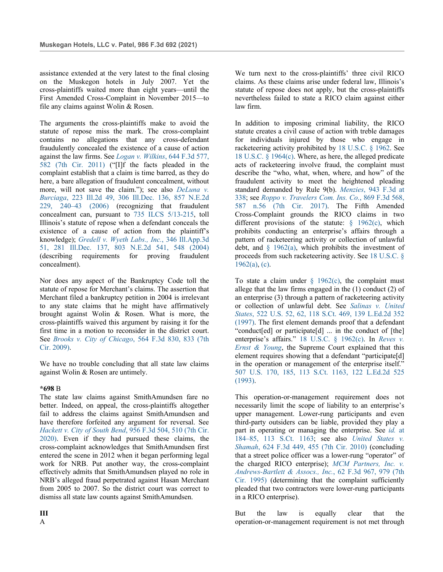assistance extended at the very latest to the final closing on the Muskegon hotels in July 2007. Yet the cross-plaintiffs waited more than eight years—until the First Amended Cross-Complaint in November 2015—to file any claims against Wolin & Rosen.

The arguments the cross-plaintiffs make to avoid the statute of repose miss the mark. The cross-complaint contains no allegations that any cross-defendant fraudulently concealed the existence of a cause of action against the law firms. See *Logan v. Wilkins*, 644 F.3d 577, 582 (7th Cir. 2011) ("[I]f the facts pleaded in the complaint establish that a claim is time barred, as they do here, a bare allegation of fraudulent concealment, without more, will not save the claim."); see also *DeLuna v. Burciaga*, 223 Ill.2d 49, 306 Ill.Dec. 136, 857 N.E.2d 229, 240–43 (2006) (recognizing that fraudulent concealment can, pursuant to 735 ILCS 5/13-215, toll Illinois's statute of repose when a defendant conceals the existence of a cause of action from the plaintiff's knowledge); *Gredell v. Wyeth Labs., Inc.*, 346 Ill.App.3d 51, 281 Ill.Dec. 137, 803 N.E.2d 541, 548 (2004) (describing requirements for proving fraudulent concealment).

Nor does any aspect of the Bankruptcy Code toll the statute of repose for Merchant's claims. The assertion that Merchant filed a bankruptcy petition in 2004 is irrelevant to any state claims that he might have affirmatively brought against Wolin & Rosen. What is more, the cross-plaintiffs waived this argument by raising it for the first time in a motion to reconsider in the district court. See *Brooks v. City of Chicago*, 564 F.3d 830, 833 (7th Cir. 2009).

We have no trouble concluding that all state law claims against Wolin & Rosen are untimely.

### **\*698** B

The state law claims against SmithAmundsen fare no better. Indeed, on appeal, the cross-plaintiffs altogether fail to address the claims against SmithAmundsen and have therefore forfeited any argument for reversal. See *Hackett v. City of South Bend*, 956 F.3d 504, 510 (7th Cir. 2020). Even if they had pursued these claims, the cross-complaint acknowledges that SmithAmundsen first entered the scene in 2012 when it began performing legal work for NRB. Put another way, the cross-complaint effectively admits that SmithAmundsen played no role in NRB's alleged fraud perpetrated against Hasan Merchant from 2005 to 2007. So the district court was correct to dismiss all state law counts against SmithAmundsen.

**III** A

We turn next to the cross-plaintiffs' three civil RICO claims. As these claims arise under federal law, Illinois's statute of repose does not apply, but the cross-plaintiffs nevertheless failed to state a RICO claim against either law firm.

In addition to imposing criminal liability, the RICO statute creates a civil cause of action with treble damages for individuals injured by those who engage in racketeering activity prohibited by 18 U.S.C. § 1962. See 18 U.S.C. § 1964(c). Where, as here, the alleged predicate acts of racketeering involve fraud, the complaint must describe the "who, what, when, where, and how" of the fraudulent activity to meet the heightened pleading standard demanded by Rule 9(b). *Menzies*, 943 F.3d at 338; see *Roppo v. Travelers Com. Ins. Co.*, 869 F.3d 568, 587 n.56 (7th Cir. 2017). The Fifth Amended Cross-Complaint grounds the RICO claims in two different provisions of the statute: § 1962(c), which prohibits conducting an enterprise's affairs through a pattern of racketeering activity or collection of unlawful debt, and  $\S$  1962(a), which prohibits the investment of proceeds from such racketeering activity. See 18 U.S.C. §  $1962(a)$ , (c).

To state a claim under  $\S$  1962(c), the complaint must allege that the law firms engaged in the (1) conduct (2) of an enterprise (3) through a pattern of racketeering activity or collection of unlawful debt. See *Salinas v. United States*, 522 U.S. 52, 62, 118 S.Ct. 469, 139 L.Ed.2d 352 (1997). The first element demands proof that a defendant "conduct[ed] or participate[d] ... in the conduct of [the] enterprise's affairs." 18 U.S.C. § 1962(c). In *Reves v. Ernst & Young*, the Supreme Court explained that this element requires showing that a defendant "participate[d] in the operation or management of the enterprise itself." 507 U.S. 170, 185, 113 S.Ct. 1163, 122 L.Ed.2d 525 (1993).

This operation-or-management requirement does not necessarily limit the scope of liability to an enterprise's upper management. Lower-rung participants and even third-party outsiders can be liable, provided they play a part in operating or managing the enterprise. See *id.* at 184–85, 113 S.Ct. 1163; see also *United States v. Shamah*, 624 F.3d 449, 455 (7th Cir. 2010) (concluding that a street police officer was a lower-rung "operator" of the charged RICO enterprise); *MCM Partners, Inc. v. Andrews-Bartlett & Assocs., Inc.*, 62 F.3d 967, 979 (7th Cir. 1995) (determining that the complaint sufficiently pleaded that two contractors were lower-rung participants in a RICO enterprise).

But the law is equally clear that the operation-or-management requirement is not met through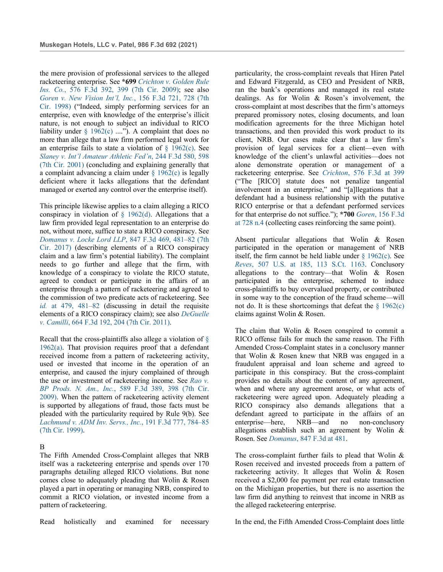the mere provision of professional services to the alleged racketeering enterprise. See **\*699** *Crichton v. Golden Rule Ins. Co.*, 576 F.3d 392, 399 (7th Cir. 2009); see also *Goren v. New Vision Int'l, Inc.*, 156 F.3d 721, 728 (7th Cir. 1998) ("Indeed, simply performing services for an enterprise, even with knowledge of the enterprise's illicit nature, is not enough to subject an individual to RICO liability under  $\S$  1962(c) ...."). A complaint that does no more than allege that a law firm performed legal work for an enterprise fails to state a violation of  $\S$  1962(c). See *Slaney v. Int'l Amateur Athletic Fed'n*, 244 F.3d 580, 598 (7th Cir. 2001) (concluding and explaining generally that a complaint advancing a claim under  $\S$  1962(c) is legally deficient where it lacks allegations that the defendant managed or exerted any control over the enterprise itself).

This principle likewise applies to a claim alleging a RICO conspiracy in violation of  $\S$  1962(d). Allegations that a law firm provided legal representation to an enterprise do not, without more, suffice to state a RICO conspiracy. See *Domanus v. Locke Lord LLP*, 847 F.3d 469, 481–82 (7th Cir. 2017) (describing elements of a RICO conspiracy claim and a law firm's potential liability). The complaint needs to go further and allege that the firm, with knowledge of a conspiracy to violate the RICO statute, agreed to conduct or participate in the affairs of an enterprise through a pattern of racketeering and agreed to the commission of two predicate acts of racketeering. See *id.* at 479, 481–82 (discussing in detail the requisite elements of a RICO conspiracy claim); see also *DeGuelle v. Camilli*, 664 F.3d 192, 204 (7th Cir. 2011).

Recall that the cross-plaintiffs also allege a violation of  $\delta$ 1962(a). That provision requires proof that a defendant received income from a pattern of racketeering activity, used or invested that income in the operation of an enterprise, and caused the injury complained of through the use or investment of racketeering income. See *Rao v. BP Prods. N. Am., Inc.*, 589 F.3d 389, 398 (7th Cir. 2009). When the pattern of racketeering activity element is supported by allegations of fraud, those facts must be pleaded with the particularity required by Rule 9(b). See *Lachmund v. ADM Inv. Servs., Inc.*, 191 F.3d 777, 784–85 (7th Cir. 1999).

### B

The Fifth Amended Cross-Complaint alleges that NRB itself was a racketeering enterprise and spends over 170 paragraphs detailing alleged RICO violations. But none comes close to adequately pleading that Wolin & Rosen played a part in operating or managing NRB, conspired to commit a RICO violation, or invested income from a pattern of racketeering.

Read holistically and examined for necessary

particularity, the cross-complaint reveals that Hiren Patel and Edward Fitzgerald, as CEO and President of NRB, ran the bank's operations and managed its real estate dealings. As for Wolin & Rosen's involvement, the cross-complaint at most describes that the firm's attorneys prepared promissory notes, closing documents, and loan modification agreements for the three Michigan hotel transactions, and then provided this work product to its client, NRB. Our cases make clear that a law firm's provision of legal services for a client—even with knowledge of the client's unlawful activities—does not alone demonstrate operation or management of a racketeering enterprise. See *Crichton*, 576 F.3d at 399 ("The [RICO] statute does not penalize tangential involvement in an enterprise," and "[a]llegations that a defendant had a business relationship with the putative RICO enterprise or that a defendant performed services for that enterprise do not suffice."); **\*700** *Goren*, 156 F.3d at 728 n.4 (collecting cases reinforcing the same point).

Absent particular allegations that Wolin & Rosen participated in the operation or management of NRB itself, the firm cannot be held liable under  $\S$  1962(c). See *Reves*, 507 U.S. at 185, 113 S.Ct. 1163. Conclusory allegations to the contrary—that Wolin & Rosen participated in the enterprise, schemed to induce cross-plaintiffs to buy overvalued property, or contributed in some way to the conception of the fraud scheme—will not do. It is these shortcomings that defeat the  $\S$  1962(c) claims against Wolin & Rosen.

The claim that Wolin & Rosen conspired to commit a RICO offense fails for much the same reason. The Fifth Amended Cross-Complaint states in a conclusory manner that Wolin & Rosen knew that NRB was engaged in a fraudulent appraisal and loan scheme and agreed to participate in this conspiracy. But the cross-complaint provides no details about the content of any agreement, when and where any agreement arose, or what acts of racketeering were agreed upon. Adequately pleading a RICO conspiracy also demands allegations that a defendant agreed to participate in the affairs of an enterprise—here, NRB—and no non-conclusory allegations establish such an agreement by Wolin & Rosen. See *Domanus*, 847 F.3d at 481.

The cross-complaint further fails to plead that Wolin & Rosen received and invested proceeds from a pattern of racketeering activity. It alleges that Wolin & Rosen received a \$2,000 fee payment per real estate transaction on the Michigan properties, but there is no assertion the law firm did anything to reinvest that income in NRB as the alleged racketeering enterprise.

In the end, the Fifth Amended Cross-Complaint does little